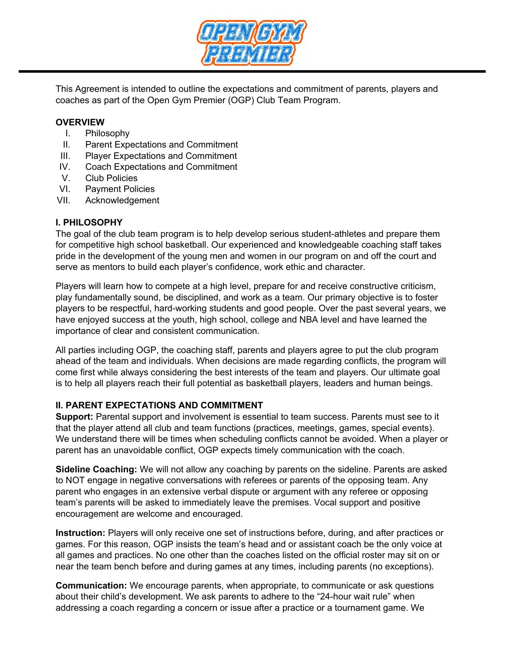

This Agreement is intended to outline the expectations and commitment of parents, players and coaches as part of the Open Gym Premier (OGP) Club Team Program.

### **OVERVIEW**

- I. Philosophy
- II. Parent Expectations and Commitment
- III. Player Expectations and Commitment
- IV. Coach Expectations and Commitment
- V. Club Policies
- VI. Payment Policies
- VII. Acknowledgement

# **I. PHILOSOPHY**

The goal of the club team program is to help develop serious student-athletes and prepare them for competitive high school basketball. Our experienced and knowledgeable coaching staff takes pride in the development of the young men and women in our program on and off the court and serve as mentors to build each player's confidence, work ethic and character.

Players will learn how to compete at a high level, prepare for and receive constructive criticism, play fundamentally sound, be disciplined, and work as a team. Our primary objective is to foster players to be respectful, hard-working students and good people. Over the past several years, we have enjoyed success at the youth, high school, college and NBA level and have learned the importance of clear and consistent communication.

All parties including OGP, the coaching staff, parents and players agree to put the club program ahead of the team and individuals. When decisions are made regarding conflicts, the program will come first while always considering the best interests of the team and players. Our ultimate goal is to help all players reach their full potential as basketball players, leaders and human beings.

## **II. PARENT EXPECTATIONS AND COMMITMENT**

**Support:** Parental support and involvement is essential to team success. Parents must see to it that the player attend all club and team functions (practices, meetings, games, special events). We understand there will be times when scheduling conflicts cannot be avoided. When a player or parent has an unavoidable conflict, OGP expects timely communication with the coach.

**Sideline Coaching:** We will not allow any coaching by parents on the sideline. Parents are asked to NOT engage in negative conversations with referees or parents of the opposing team. Any parent who engages in an extensive verbal dispute or argument with any referee or opposing team's parents will be asked to immediately leave the premises. Vocal support and positive encouragement are welcome and encouraged.

**Instruction:** Players will only receive one set of instructions before, during, and after practices or games. For this reason, OGP insists the team's head and or assistant coach be the only voice at all games and practices. No one other than the coaches listed on the official roster may sit on or near the team bench before and during games at any times, including parents (no exceptions).

**Communication:** We encourage parents, when appropriate, to communicate or ask questions about their child's development. We ask parents to adhere to the "24-hour wait rule" when addressing a coach regarding a concern or issue after a practice or a tournament game. We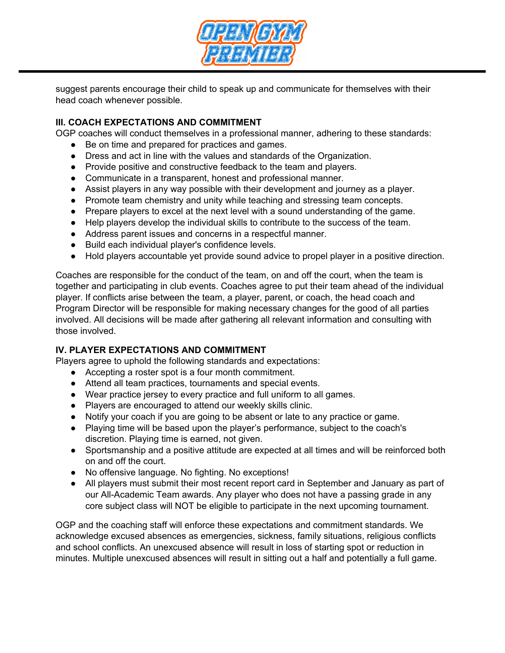

suggest parents encourage their child to speak up and communicate for themselves with their head coach whenever possible.

## **III. COACH EXPECTATIONS AND COMMITMENT**

OGP coaches will conduct themselves in a professional manner, adhering to these standards:

- Be on time and prepared for practices and games.
- Dress and act in line with the values and standards of the Organization.
- Provide positive and constructive feedback to the team and players.
- Communicate in a transparent, honest and professional manner.
- Assist players in any way possible with their development and journey as a player.
- Promote team chemistry and unity while teaching and stressing team concepts.
- Prepare players to excel at the next level with a sound understanding of the game.
- Help players develop the individual skills to contribute to the success of the team.
- Address parent issues and concerns in a respectful manner.
- Build each individual player's confidence levels.
- Hold players accountable yet provide sound advice to propel player in a positive direction.

Coaches are responsible for the conduct of the team, on and off the court, when the team is together and participating in club events. Coaches agree to put their team ahead of the individual player. If conflicts arise between the team, a player, parent, or coach, the head coach and Program Director will be responsible for making necessary changes for the good of all parties involved. All decisions will be made after gathering all relevant information and consulting with those involved.

# **IV. PLAYER EXPECTATIONS AND COMMITMENT**

Players agree to uphold the following standards and expectations:

- Accepting a roster spot is a four month commitment.
- Attend all team practices, tournaments and special events.
- Wear practice jersey to every practice and full uniform to all games.
- Players are encouraged to attend our weekly skills clinic.
- Notify your coach if you are going to be absent or late to any practice or game.
- Playing time will be based upon the player's performance, subject to the coach's discretion. Playing time is earned, not given.
- Sportsmanship and a positive attitude are expected at all times and will be reinforced both on and off the court.
- No offensive language. No fighting. No exceptions!
- All players must submit their most recent report card in September and January as part of our All-Academic Team awards. Any player who does not have a passing grade in any core subject class will NOT be eligible to participate in the next upcoming tournament.

OGP and the coaching staff will enforce these expectations and commitment standards. We acknowledge excused absences as emergencies, sickness, family situations, religious conflicts and school conflicts. An unexcused absence will result in loss of starting spot or reduction in minutes. Multiple unexcused absences will result in sitting out a half and potentially a full game.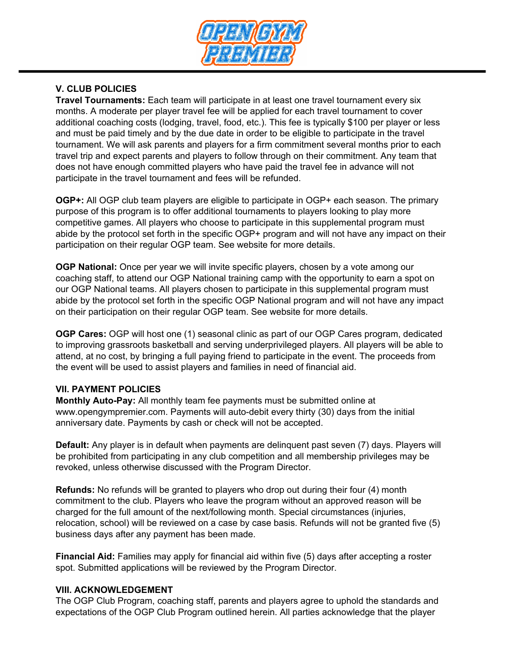

# **V. CLUB POLICIES**

**Travel Tournaments:** Each team will participate in at least one travel tournament every six months. A moderate per player travel fee will be applied for each travel tournament to cover additional coaching costs (lodging, travel, food, etc.). This fee is typically \$100 per player or less and must be paid timely and by the due date in order to be eligible to participate in the travel tournament. We will ask parents and players for a firm commitment several months prior to each travel trip and expect parents and players to follow through on their commitment. Any team that does not have enough committed players who have paid the travel fee in advance will not participate in the travel tournament and fees will be refunded.

**OGP+:** All OGP club team players are eligible to participate in OGP+ each season. The primary purpose of this program is to offer additional tournaments to players looking to play more competitive games. All players who choose to participate in this supplemental program must abide by the protocol set forth in the specific OGP+ program and will not have any impact on their participation on their regular OGP team. See website for more details.

**OGP National:** Once per year we will invite specific players, chosen by a vote among our coaching staff, to attend our OGP National training camp with the opportunity to earn a spot on our OGP National teams. All players chosen to participate in this supplemental program must abide by the protocol set forth in the specific OGP National program and will not have any impact on their participation on their regular OGP team. See website for more details.

**OGP Cares:** OGP will host one (1) seasonal clinic as part of our OGP Cares program, dedicated to improving grassroots basketball and serving underprivileged players. All players will be able to attend, at no cost, by bringing a full paying friend to participate in the event. The proceeds from the event will be used to assist players and families in need of financial aid.

### **VII. PAYMENT POLICIES**

**Monthly Auto-Pay:** All monthly team fee payments must be submitted online at www.opengympremier.com. Payments will auto-debit every thirty (30) days from the initial anniversary date. Payments by cash or check will not be accepted.

**Default:** Any player is in default when payments are delinquent past seven (7) days. Players will be prohibited from participating in any club competition and all membership privileges may be revoked, unless otherwise discussed with the Program Director.

**Refunds:** No refunds will be granted to players who drop out during their four (4) month commitment to the club. Players who leave the program without an approved reason will be charged for the full amount of the next/following month. Special circumstances (injuries, relocation, school) will be reviewed on a case by case basis. Refunds will not be granted five (5) business days after any payment has been made.

**Financial Aid:** Families may apply for financial aid within five (5) days after accepting a roster spot. Submitted applications will be reviewed by the Program Director.

### **VIII. ACKNOWLEDGEMENT**

The OGP Club Program, coaching staff, parents and players agree to uphold the standards and expectations of the OGP Club Program outlined herein. All parties acknowledge that the player